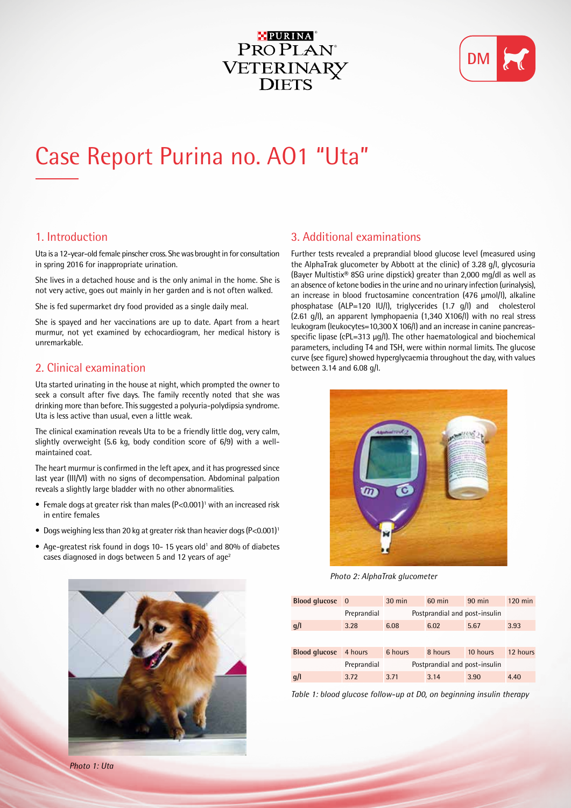## PURINA ® PROPLAN<sup>®</sup> VETERINARY<br>DIETS



# Case Report Purina no. AO1 "Uta"

#### 1. Introduction

Uta is a 12-year-old female pinscher cross. She was brought in for consultation in spring 2016 for inappropriate urination.

She lives in a detached house and is the only animal in the home. She is not very active, goes out mainly in her garden and is not often walked.

She is fed supermarket dry food provided as a single daily meal.

She is spayed and her vaccinations are up to date. Apart from a heart murmur, not yet examined by echocardiogram, her medical history is unremarkable.

## 2. Clinical examination

Uta started urinating in the house at night, which prompted the owner to seek a consult after five days. The family recently noted that she was drinking more than before. This suggested a polyuria-polydipsia syndrome. Uta is less active than usual, even a little weak.

The clinical examination reveals Uta to be a friendly little dog, very calm, slightly overweight (5.6 kg, body condition score of 6/9) with a wellmaintained coat.

The heart murmur is confirmed in the left apex, and it has progressed since last year (III/VI) with no signs of decompensation. Abdominal palpation reveals a slightly large bladder with no other abnormalities.

- Female dogs at greater risk than males (P<0.001)<sup>1</sup> with an increased risk in entire females
- Dogs weighing less than 20 kg at greater risk than heavier dogs  $(P<0.001)^1$
- Age-greatest risk found in dogs 10-15 years old<sup>1</sup> and 80% of diabetes cases diagnosed in dogs between 5 and 12 years of age<sup>2</sup>

## 3. Additional examinations

Further tests revealed a preprandial blood glucose level (measured using the AlphaTrak glucometer by Abbott at the clinic) of 3.28 g/l, glycosuria (Bayer Multistix® 8SG urine dipstick) greater than 2,000 mg/dl as well as an absence of ketone bodies in the urine and no urinary infection (urinalysis), an increase in blood fructosamine concentration (476 µmol/l), alkaline phosphatase (ALP=120 IU/l), triglycerides (1.7 g/l) and cholesterol (2.61 g/l), an apparent lymphopaenia (1,340 X106/l) with no real stress leukogram (leukocytes=10,300 X 106/l) and an increase in canine pancreasspecific lipase (cPL=313 μg/l). The other haematological and biochemical parameters, including T4 and TSH, were within normal limits. The glucose curve (see figure) showed hyperglycaemia throughout the day, with values between 3.14 and 6.08 g/l.



*Photo 2: AlphaTrak glucometer*

| Blood glucose 0      |             | $30 \text{ min}$              | $60$ min | $90$ min | $120 \text{ min}$ |
|----------------------|-------------|-------------------------------|----------|----------|-------------------|
|                      | Preprandial | Postprandial and post-insulin |          |          |                   |
| q/l                  | 3.28        | 6.08                          | 6.02     | 5.67     | 3.93              |
|                      |             |                               |          |          |                   |
| <b>Blood glucose</b> | 4 hours     | 6 hours                       | 8 hours  | 10 hours | 12 hours          |
|                      | Preprandial | Postprandial and post-insulin |          |          |                   |
| q/l                  | 3.72        | 3.71                          | 3.14     | 3.90     | 4.40              |

*Table 1: blood glucose follow-up at D0, on beginning insulin therapy*



*Photo 1: Uta*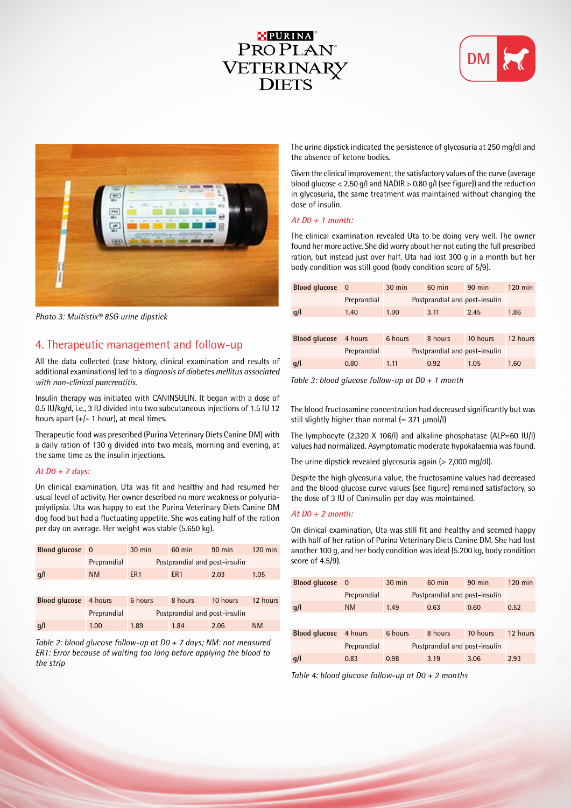## PURINA ® PROPLAN<sup>®</sup> VETERINARY **DIETS**





*Photo 3: Multistix® 8SG urine dipstick*

## 4. Therapeutic management and follow-up

All the data collected (case history, clinical examination and results of additional examinations) led to a *diagnosis of diabetes mellitus associated with non-clinical pancreatitis.*

Insulin therapy was initiated with CANINSULIN. It began with a dose of 0.5 IU/kg/d, i.e., 3 IU divided into two subcutaneous injections of 1.5 IU 12 hours apart  $(+/- 1$  hour), at meal times.

Therapeutic food was prescribed (Purina Veterinary Diets Canine DM) with a daily ration of 130 g divided into two meals, morning and evening, at the same time as the insulin injections.

#### **At D0 + 7 days:**

On clinical examination, Uta was fit and healthy and had resumed her usual level of activity. Her owner described no more weakness or polyuriapolydipsia. Uta was happy to eat the Purina Veterinary Diets Canine DM dog food but had a fluctuating appetite. She was eating half of the ration per day on average. Her weight was stable (5.650 kg).

| Blood glucose 0      |             | $30 \text{ min}$              | $60$ min        | $90$ min | $120$ min |
|----------------------|-------------|-------------------------------|-----------------|----------|-----------|
|                      | Preprandial | Postprandial and post-insulin |                 |          |           |
| q/l                  | <b>NM</b>   | ER <sub>1</sub>               | ER <sub>1</sub> | 2.03     | 1.05      |
|                      |             |                               |                 |          |           |
| <b>Blood glucose</b> | 4 hours     | 6 hours                       | 8 hours         | 10 hours | 12 hours  |
|                      | Preprandial | Postprandial and post-insulin |                 |          |           |
| q/l                  | 1.00        | 1.89                          | 1.84            | 2.06     | <b>NM</b> |

*Table 2: blood glucose follow-up at D0 + 7 days; NM: not measured ER1: Error because of waiting too long before applying the blood to the strip*

The urine dipstick indicated the persistence of glycosuria at 250 mg/dl and the absence of ketone bodies.

Given the clinical improvement, the satisfactory values of the curve (average blood glucose < 2.50 g/l and NADIR > 0.80 g/l (see figure)) and the reduction in glycosuria, the same treatment was maintained without changing the dose of insulin.

#### **At D0 + 1 month:**

The clinical examination revealed Uta to be doing very well. The owner found her more active. She did worry about her not eating the full prescribed ration, but instead just over half. Uta had lost 300 g in a month but her body condition was still good (body condition score of 5/9).

| <b>Blood glucose</b> | $\overline{0}$ | $30 \text{ min}$              | $60$ min | $90$ min | $120$ min |
|----------------------|----------------|-------------------------------|----------|----------|-----------|
|                      | Preprandial    | Postprandial and post-insulin |          |          |           |
| g/l                  | 1.40           | 1.90                          | 3.11     | 2.45     | 1.86      |
|                      |                |                               |          |          |           |
| <b>Blood glucose</b> | 4 hours        | 6 hours                       | 8 hours  | 10 hours | 12 hours  |
|                      | Preprandial    | Postprandial and post-insulin |          |          |           |
| g/l                  | 0.80           | 1.11                          | 0.92     | 1.05     | 1.60      |

*Table 3: blood glucose follow-up at D0 + 1 month*

The blood fructosamine concentration had decreased significantly but was still slightly higher than normal  $(= 371 \mu \text{mol/l})$ 

The lymphocyte (2,320 X 106/l) and alkaline phosphatase (ALP=60 IU/l) values had normalized. Asymptomatic moderate hypokalaemia was found.

The urine dipstick revealed glycosuria again (> 2,000 mg/dl).

Despite the high glycosuria value, the fructosamine values had decreased and the blood glucose curve values (see figure) remained satisfactory, so the dose of 3 IU of Caninsulin per day was maintained.

#### **At D0 + 2 month:**

On clinical examination, Uta was still fit and healthy and seemed happy with half of her ration of Purina Veterinary Diets Canine DM. She had lost another 100 g, and her body condition was ideal (5.200 kg, body condition score of 4.5/9).

| Blood glucose 0      |             | $30 \text{ min}$              | $60$ min | $90$ min | $120 \text{ min}$ |
|----------------------|-------------|-------------------------------|----------|----------|-------------------|
|                      | Preprandial | Postprandial and post-insulin |          |          |                   |
| q/l                  | <b>NM</b>   | 1.49                          | 0.63     | 0.60     | 0.52              |
|                      |             |                               |          |          |                   |
| <b>Blood glucose</b> | 4 hours     | 6 hours                       | 8 hours  | 10 hours | 12 hours          |
|                      | Preprandial | Postprandial and post-insulin |          |          |                   |
| q/l                  | 0.83        | 0.98                          | 3.19     | 3.06     | 2.93              |

*Table 4: blood glucose follow-up at D0 + 2 months*